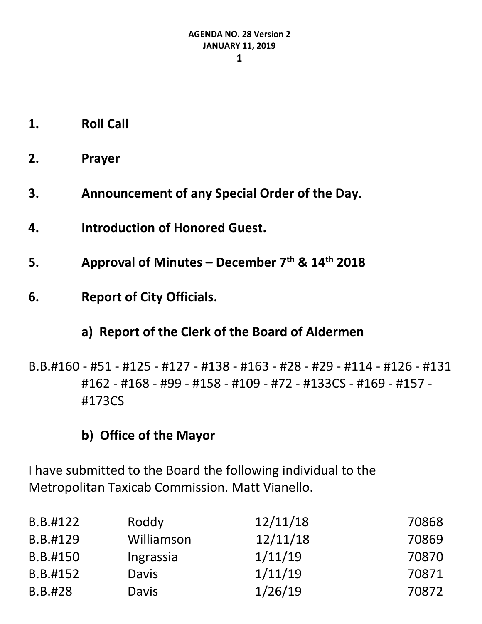- **1. Roll Call**
- **2. Prayer**
- **3. Announcement of any Special Order of the Day.**
- **4. Introduction of Honored Guest.**
- **5. Approval of Minutes – December 7th & 14th 2018**
- **6. Report of City Officials.**

# **a) Report of the Clerk of the Board of Aldermen**

B.B.#160 - #51 - #125 - #127 - #138 - #163 - #28 - #29 - #114 - #126 - #131 #162 - #168 - #99 - #158 - #109 - #72 - #133CS - #169 - #157 - #173CS

# **b) Office of the Mayor**

I have submitted to the Board the following individual to the Metropolitan Taxicab Commission. Matt Vianello.

| B.B.#122 | Roddy        | 12/11/18 | 70868 |
|----------|--------------|----------|-------|
| B.B.#129 | Williamson   | 12/11/18 | 70869 |
| B.B.#150 | Ingrassia    | 1/11/19  | 70870 |
| B.B.#152 | <b>Davis</b> | 1/11/19  | 70871 |
| B.B.#28  | <b>Davis</b> | 1/26/19  | 70872 |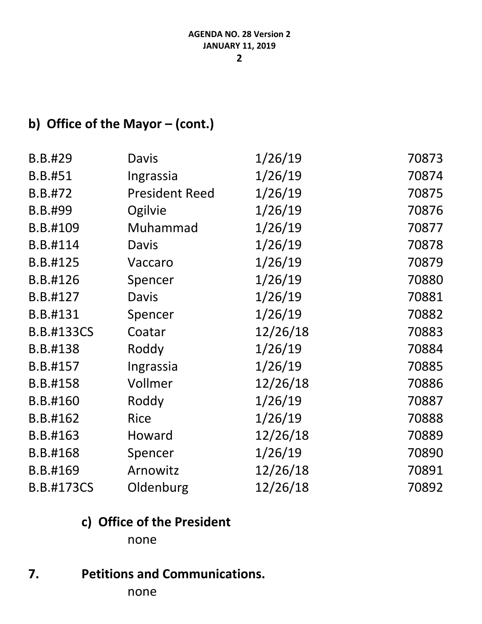# **b) Office of the Mayor – (cont.)**

| B.B.#29           | Davis                 | 1/26/19  | 70873 |
|-------------------|-----------------------|----------|-------|
| B.B.#51           | Ingrassia             | 1/26/19  | 70874 |
| B.B.#72           | <b>President Reed</b> | 1/26/19  | 70875 |
| B.B.#99           | Ogilvie               | 1/26/19  | 70876 |
| B.B.#109          | Muhammad              | 1/26/19  | 70877 |
| B.B.#114          | Davis                 | 1/26/19  | 70878 |
| B.B.#125          | Vaccaro               | 1/26/19  | 70879 |
| B.B.#126          | Spencer               | 1/26/19  | 70880 |
| B.B.#127          | Davis                 | 1/26/19  | 70881 |
| B.B.#131          | Spencer               | 1/26/19  | 70882 |
| <b>B.B.#133CS</b> | Coatar                | 12/26/18 | 70883 |
| B.B.#138          | Roddy                 | 1/26/19  | 70884 |
| B.B.#157          | Ingrassia             | 1/26/19  | 70885 |
| B.B.#158          | Vollmer               | 12/26/18 | 70886 |
| B.B.#160          | Roddy                 | 1/26/19  | 70887 |
| B.B.#162          | <b>Rice</b>           | 1/26/19  | 70888 |
| B.B.#163          | Howard                | 12/26/18 | 70889 |
| B.B.#168          | Spencer               | 1/26/19  | 70890 |
| B.B.#169          | Arnowitz              | 12/26/18 | 70891 |
| <b>B.B.#173CS</b> | Oldenburg             | 12/26/18 | 70892 |

# **c) Office of the President**

none

### **7. Petitions and Communications.**

none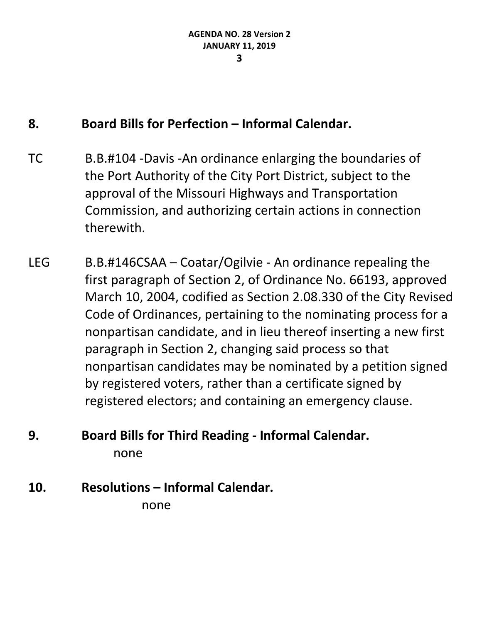### **8. Board Bills for Perfection – Informal Calendar.**

- TC B.B.#104 -Davis -An ordinance enlarging the boundaries of the Port Authority of the City Port District, subject to the approval of the Missouri Highways and Transportation Commission, and authorizing certain actions in connection therewith.
- LEG B.B.#146CSAA Coatar/Ogilvie An ordinance repealing the first paragraph of Section 2, of Ordinance No. 66193, approved March 10, 2004, codified as Section 2.08.330 of the City Revised Code of Ordinances, pertaining to the nominating process for a nonpartisan candidate, and in lieu thereof inserting a new first paragraph in Section 2, changing said process so that nonpartisan candidates may be nominated by a petition signed by registered voters, rather than a certificate signed by registered electors; and containing an emergency clause.

# **9. Board Bills for Third Reading - Informal Calendar.** none

**10. Resolutions – Informal Calendar.**

none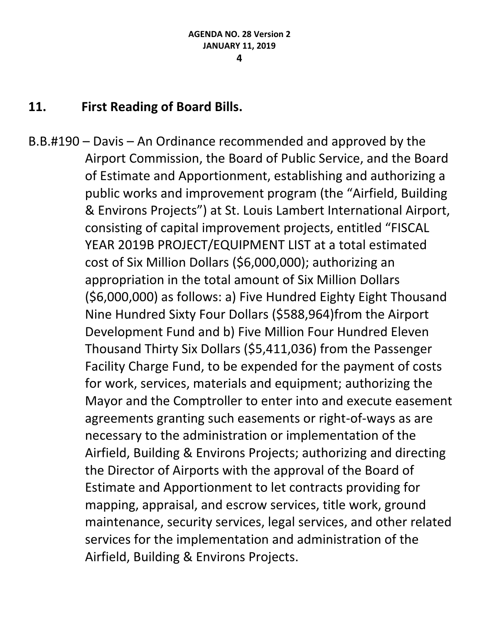### **11. First Reading of Board Bills.**

B.B.#190 – Davis – An Ordinance recommended and approved by the Airport Commission, the Board of Public Service, and the Board of Estimate and Apportionment, establishing and authorizing a public works and improvement program (the "Airfield, Building & Environs Projects") at St. Louis Lambert International Airport, consisting of capital improvement projects, entitled "FISCAL YEAR 2019B PROJECT/EQUIPMENT LIST at a total estimated cost of Six Million Dollars (\$6,000,000); authorizing an appropriation in the total amount of Six Million Dollars (\$6,000,000) as follows: a) Five Hundred Eighty Eight Thousand Nine Hundred Sixty Four Dollars (\$588,964)from the Airport Development Fund and b) Five Million Four Hundred Eleven Thousand Thirty Six Dollars (\$5,411,036) from the Passenger Facility Charge Fund, to be expended for the payment of costs for work, services, materials and equipment; authorizing the Mayor and the Comptroller to enter into and execute easement agreements granting such easements or right-of-ways as are necessary to the administration or implementation of the Airfield, Building & Environs Projects; authorizing and directing the Director of Airports with the approval of the Board of Estimate and Apportionment to let contracts providing for mapping, appraisal, and escrow services, title work, ground maintenance, security services, legal services, and other related services for the implementation and administration of the Airfield, Building & Environs Projects.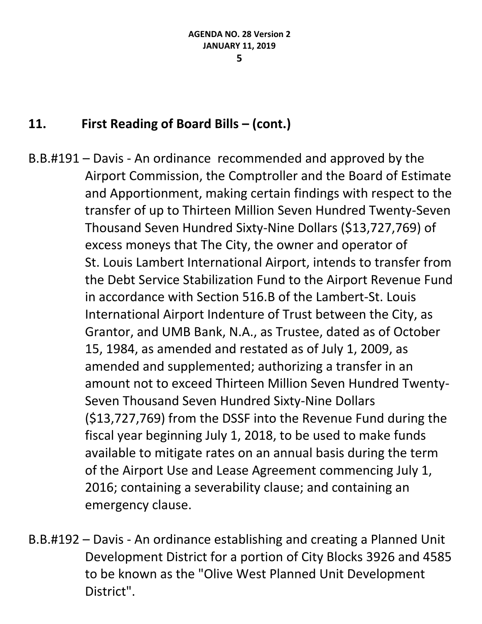- B.B.#191 Davis An ordinance recommended and approved by the Airport Commission, the Comptroller and the Board of Estimate and Apportionment, making certain findings with respect to the transfer of up to Thirteen Million Seven Hundred Twenty-Seven Thousand Seven Hundred Sixty-Nine Dollars (\$13,727,769) of excess moneys that The City, the owner and operator of St. Louis Lambert International Airport, intends to transfer from the Debt Service Stabilization Fund to the Airport Revenue Fund in accordance with Section 516.B of the Lambert-St. Louis International Airport Indenture of Trust between the City, as Grantor, and UMB Bank, N.A., as Trustee, dated as of October 15, 1984, as amended and restated as of July 1, 2009, as amended and supplemented; authorizing a transfer in an amount not to exceed Thirteen Million Seven Hundred Twenty-Seven Thousand Seven Hundred Sixty-Nine Dollars (\$13,727,769) from the DSSF into the Revenue Fund during the fiscal year beginning July 1, 2018, to be used to make funds available to mitigate rates on an annual basis during the term of the Airport Use and Lease Agreement commencing July 1, 2016; containing a severability clause; and containing an emergency clause.
- B.B.#192 Davis An ordinance establishing and creating a Planned Unit Development District for a portion of City Blocks 3926 and 4585 to be known as the "Olive West Planned Unit Development District".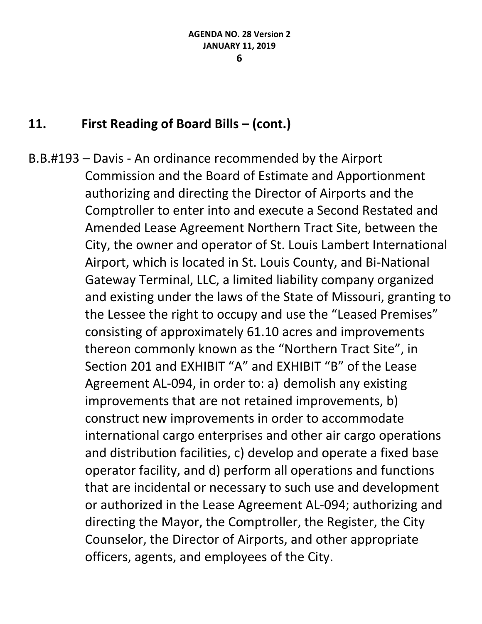B.B.#193 – Davis - An ordinance recommended by the Airport Commission and the Board of Estimate and Apportionment authorizing and directing the Director of Airports and the Comptroller to enter into and execute a Second Restated and Amended Lease Agreement Northern Tract Site, between the City, the owner and operator of St. Louis Lambert International Airport, which is located in St. Louis County, and Bi-National Gateway Terminal, LLC, a limited liability company organized and existing under the laws of the State of Missouri, granting to the Lessee the right to occupy and use the "Leased Premises" consisting of approximately 61.10 acres and improvements thereon commonly known as the "Northern Tract Site", in Section 201 and EXHIBIT "A" and EXHIBIT "B" of the Lease Agreement AL-094, in order to: a) demolish any existing improvements that are not retained improvements, b) construct new improvements in order to accommodate international cargo enterprises and other air cargo operations and distribution facilities, c) develop and operate a fixed base operator facility, and d) perform all operations and functions that are incidental or necessary to such use and development or authorized in the Lease Agreement AL-094; authorizing and directing the Mayor, the Comptroller, the Register, the City Counselor, the Director of Airports, and other appropriate officers, agents, and employees of the City.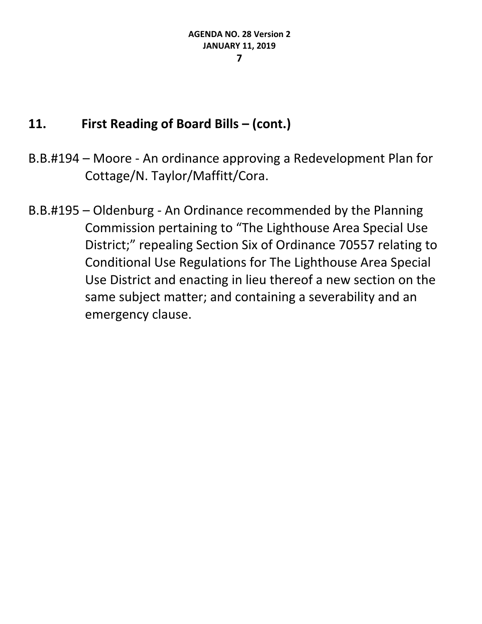- B.B.#194 Moore An ordinance approving a Redevelopment Plan for Cottage/N. Taylor/Maffitt/Cora.
- B.B.#195 Oldenburg An Ordinance recommended by the Planning Commission pertaining to "The Lighthouse Area Special Use District;" repealing Section Six of Ordinance 70557 relating to Conditional Use Regulations for The Lighthouse Area Special Use District and enacting in lieu thereof a new section on the same subject matter; and containing a severability and an emergency clause.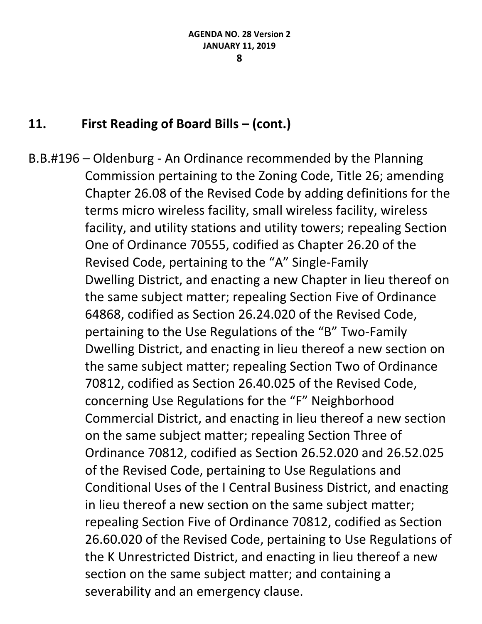#### **8**

### **11. First Reading of Board Bills – (cont.)**

B.B.#196 – Oldenburg - An Ordinance recommended by the Planning Commission pertaining to the Zoning Code, Title 26; amending Chapter 26.08 of the Revised Code by adding definitions for the terms micro wireless facility, small wireless facility, wireless facility, and utility stations and utility towers; repealing Section One of Ordinance 70555, codified as Chapter 26.20 of the Revised Code, pertaining to the "A" Single-Family Dwelling District, and enacting a new Chapter in lieu thereof on the same subject matter; repealing Section Five of Ordinance 64868, codified as Section 26.24.020 of the Revised Code, pertaining to the Use Regulations of the "B" Two-Family Dwelling District, and enacting in lieu thereof a new section on the same subject matter; repealing Section Two of Ordinance 70812, codified as Section 26.40.025 of the Revised Code, concerning Use Regulations for the "F" Neighborhood Commercial District, and enacting in lieu thereof a new section on the same subject matter; repealing Section Three of Ordinance 70812, codified as Section 26.52.020 and 26.52.025 of the Revised Code, pertaining to Use Regulations and Conditional Uses of the I Central Business District, and enacting in lieu thereof a new section on the same subject matter; repealing Section Five of Ordinance 70812, codified as Section 26.60.020 of the Revised Code, pertaining to Use Regulations of the K Unrestricted District, and enacting in lieu thereof a new section on the same subject matter; and containing a severability and an emergency clause.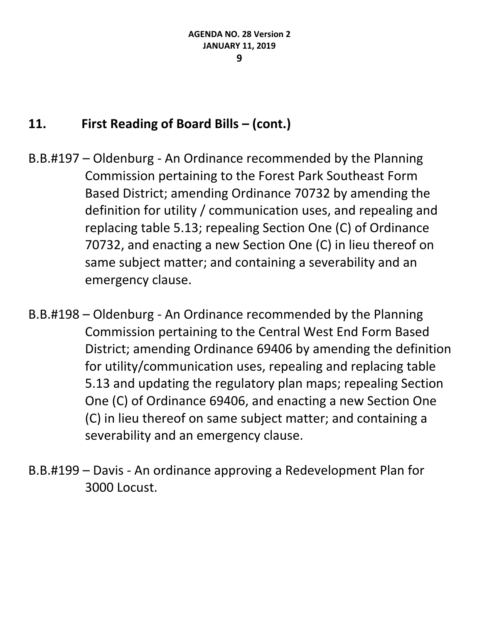- B.B.#197 Oldenburg An Ordinance recommended by the Planning Commission pertaining to the Forest Park Southeast Form Based District; amending Ordinance 70732 by amending the definition for utility / communication uses, and repealing and replacing table 5.13; repealing Section One (C) of Ordinance 70732, and enacting a new Section One (C) in lieu thereof on same subject matter; and containing a severability and an emergency clause.
- B.B.#198 Oldenburg An Ordinance recommended by the Planning Commission pertaining to the Central West End Form Based District; amending Ordinance 69406 by amending the definition for utility/communication uses, repealing and replacing table 5.13 and updating the regulatory plan maps; repealing Section One (C) of Ordinance 69406, and enacting a new Section One (C) in lieu thereof on same subject matter; and containing a severability and an emergency clause.
- B.B.#199 Davis An ordinance approving a Redevelopment Plan for 3000 Locust.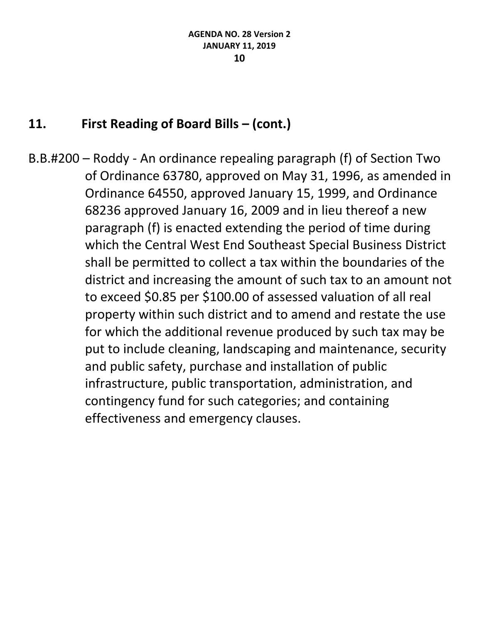B.B.#200 – Roddy - An ordinance repealing paragraph (f) of Section Two of Ordinance 63780, approved on May 31, 1996, as amended in Ordinance 64550, approved January 15, 1999, and Ordinance 68236 approved January 16, 2009 and in lieu thereof a new paragraph (f) is enacted extending the period of time during which the Central West End Southeast Special Business District shall be permitted to collect a tax within the boundaries of the district and increasing the amount of such tax to an amount not to exceed \$0.85 per \$100.00 of assessed valuation of all real property within such district and to amend and restate the use for which the additional revenue produced by such tax may be put to include cleaning, landscaping and maintenance, security and public safety, purchase and installation of public infrastructure, public transportation, administration, and contingency fund for such categories; and containing effectiveness and emergency clauses.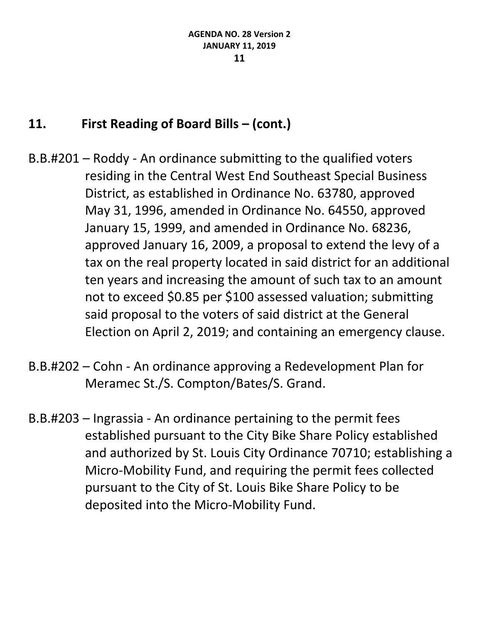- B.B.#201 Roddy An ordinance submitting to the qualified voters residing in the Central West End Southeast Special Business District, as established in Ordinance No. 63780, approved May 31, 1996, amended in Ordinance No. 64550, approved January 15, 1999, and amended in Ordinance No. 68236, approved January 16, 2009, a proposal to extend the levy of a tax on the real property located in said district for an additional ten years and increasing the amount of such tax to an amount not to exceed \$0.85 per \$100 assessed valuation; submitting said proposal to the voters of said district at the General Election on April 2, 2019; and containing an emergency clause.
- B.B.#202 Cohn An ordinance approving a Redevelopment Plan for Meramec St./S. Compton/Bates/S. Grand.
- B.B.#203 Ingrassia An ordinance pertaining to the permit fees established pursuant to the City Bike Share Policy established and authorized by St. Louis City Ordinance 70710; establishing a Micro-Mobility Fund, and requiring the permit fees collected pursuant to the City of St. Louis Bike Share Policy to be deposited into the Micro-Mobility Fund.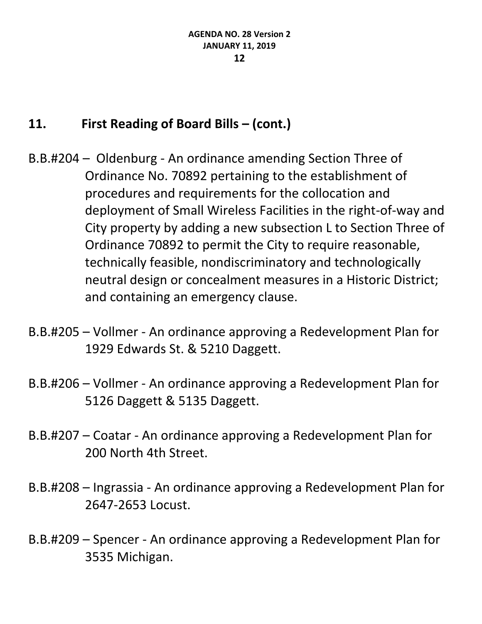- B.B.#204 Oldenburg An ordinance amending Section Three of Ordinance No. 70892 pertaining to the establishment of procedures and requirements for the collocation and deployment of Small Wireless Facilities in the right-of-way and City property by adding a new subsection L to Section Three of Ordinance 70892 to permit the City to require reasonable, technically feasible, nondiscriminatory and technologically neutral design or concealment measures in a Historic District; and containing an emergency clause.
- B.B.#205 Vollmer An ordinance approving a Redevelopment Plan for 1929 Edwards St. & 5210 Daggett.
- B.B.#206 Vollmer An ordinance approving a Redevelopment Plan for 5126 Daggett & 5135 Daggett.
- B.B.#207 Coatar An ordinance approving a Redevelopment Plan for 200 North 4th Street.
- B.B.#208 Ingrassia An ordinance approving a Redevelopment Plan for 2647-2653 Locust.
- B.B.#209 Spencer An ordinance approving a Redevelopment Plan for 3535 Michigan.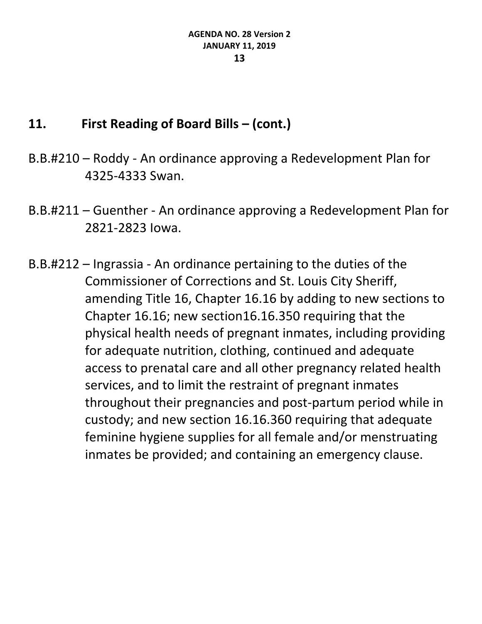- B.B.#210 Roddy An ordinance approving a Redevelopment Plan for 4325-4333 Swan.
- B.B.#211 Guenther An ordinance approving a Redevelopment Plan for 2821-2823 Iowa.
- B.B.#212 Ingrassia An ordinance pertaining to the duties of the Commissioner of Corrections and St. Louis City Sheriff, amending Title 16, Chapter 16.16 by adding to new sections to Chapter 16.16; new section16.16.350 requiring that the physical health needs of pregnant inmates, including providing for adequate nutrition, clothing, continued and adequate access to prenatal care and all other pregnancy related health services, and to limit the restraint of pregnant inmates throughout their pregnancies and post-partum period while in custody; and new section 16.16.360 requiring that adequate feminine hygiene supplies for all female and/or menstruating inmates be provided; and containing an emergency clause.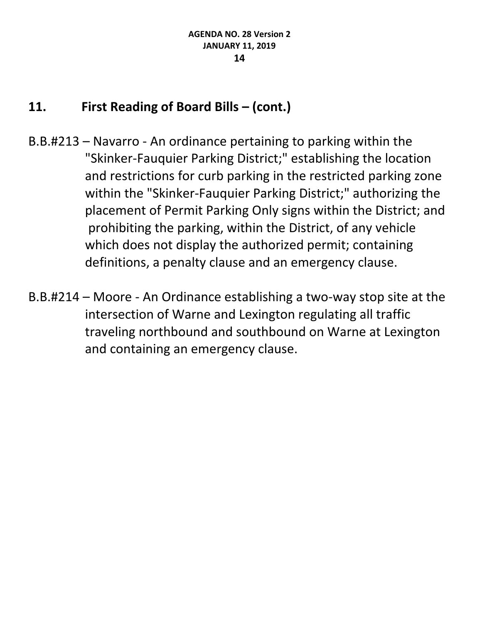- B.B.#213 Navarro An ordinance pertaining to parking within the "Skinker-Fauquier Parking District;" establishing the location and restrictions for curb parking in the restricted parking zone within the "Skinker-Fauquier Parking District;" authorizing the placement of Permit Parking Only signs within the District; and prohibiting the parking, within the District, of any vehicle which does not display the authorized permit; containing definitions, a penalty clause and an emergency clause.
- B.B.#214 Moore An Ordinance establishing a two-way stop site at the intersection of Warne and Lexington regulating all traffic traveling northbound and southbound on Warne at Lexington and containing an emergency clause.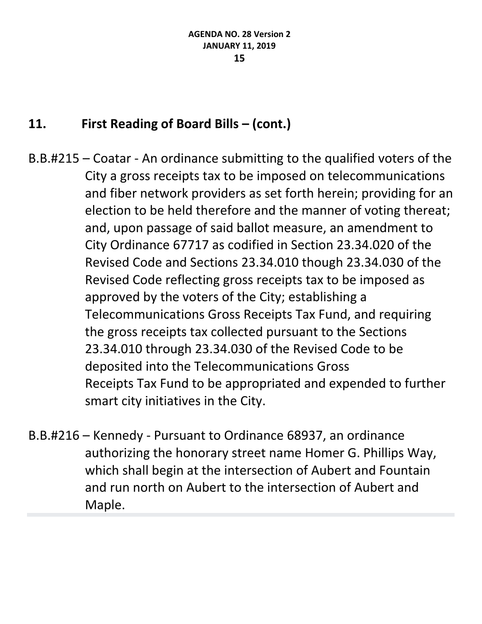- B.B.#215 Coatar An ordinance submitting to the qualified voters of the City a gross receipts tax to be imposed on telecommunications and fiber network providers as set forth herein; providing for an election to be held therefore and the manner of voting thereat; and, upon passage of said ballot measure, an amendment to City Ordinance 67717 as codified in Section 23.34.020 of the Revised Code and Sections 23.34.010 though 23.34.030 of the Revised Code reflecting gross receipts tax to be imposed as approved by the voters of the City; establishing a Telecommunications Gross Receipts Tax Fund, and requiring the gross receipts tax collected pursuant to the Sections 23.34.010 through 23.34.030 of the Revised Code to be deposited into the Telecommunications Gross Receipts Tax Fund to be appropriated and expended to further smart city initiatives in the City.
- B.B.#216 Kennedy Pursuant to Ordinance 68937, an ordinance authorizing the honorary street name Homer G. Phillips Way, which shall begin at the intersection of Aubert and Fountain and run north on Aubert to the intersection of Aubert and Maple.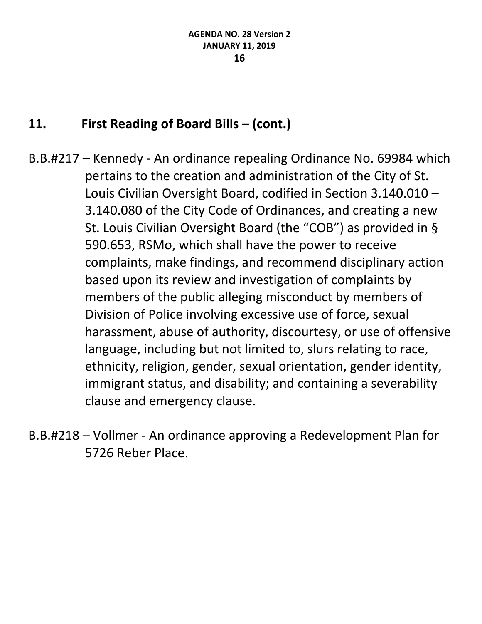B.B.#217 – Kennedy - An ordinance repealing Ordinance No. 69984 which pertains to the creation and administration of the City of St. Louis Civilian Oversight Board, codified in Section 3.140.010 – 3.140.080 of the City Code of Ordinances, and creating a new St. Louis Civilian Oversight Board (the "COB") as provided in § 590.653, RSMo, which shall have the power to receive complaints, make findings, and recommend disciplinary action based upon its review and investigation of complaints by members of the public alleging misconduct by members of Division of Police involving excessive use of force, sexual harassment, abuse of authority, discourtesy, or use of offensive language, including but not limited to, slurs relating to race, ethnicity, religion, gender, sexual orientation, gender identity, immigrant status, and disability; and containing a severability clause and emergency clause.

B.B.#218 – Vollmer - An ordinance approving a Redevelopment Plan for 5726 Reber Place.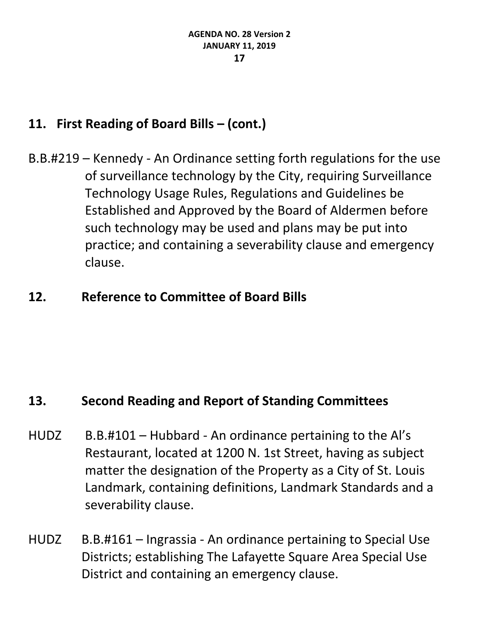B.B.#219 – Kennedy - An Ordinance setting forth regulations for the use of surveillance technology by the City, requiring Surveillance Technology Usage Rules, Regulations and Guidelines be Established and Approved by the Board of Aldermen before such technology may be used and plans may be put into practice; and containing a severability clause and emergency clause.

### **12. Reference to Committee of Board Bills**

### **13. Second Reading and Report of Standing Committees**

- HUDZ B.B.#101 Hubbard An ordinance pertaining to the Al's Restaurant, located at 1200 N. 1st Street, having as subject matter the designation of the Property as a City of St. Louis Landmark, containing definitions, Landmark Standards and a severability clause.
- HUDZ B.B.#161 Ingrassia An ordinance pertaining to Special Use Districts; establishing The Lafayette Square Area Special Use District and containing an emergency clause.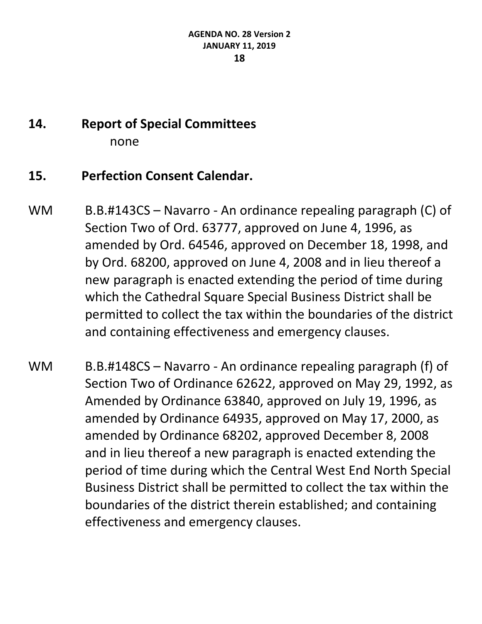# **14. Report of Special Committees** none

# **15. Perfection Consent Calendar.**

- WM B.B.#143CS Navarro An ordinance repealing paragraph (C) of Section Two of Ord. 63777, approved on June 4, 1996, as amended by Ord. 64546, approved on December 18, 1998, and by Ord. 68200, approved on June 4, 2008 and in lieu thereof a new paragraph is enacted extending the period of time during which the Cathedral Square Special Business District shall be permitted to collect the tax within the boundaries of the district and containing effectiveness and emergency clauses.
- WM B.B.#148CS Navarro An ordinance repealing paragraph (f) of Section Two of Ordinance 62622, approved on May 29, 1992, as Amended by Ordinance 63840, approved on July 19, 1996, as amended by Ordinance 64935, approved on May 17, 2000, as amended by Ordinance 68202, approved December 8, 2008 and in lieu thereof a new paragraph is enacted extending the period of time during which the Central West End North Special Business District shall be permitted to collect the tax within the boundaries of the district therein established; and containing effectiveness and emergency clauses.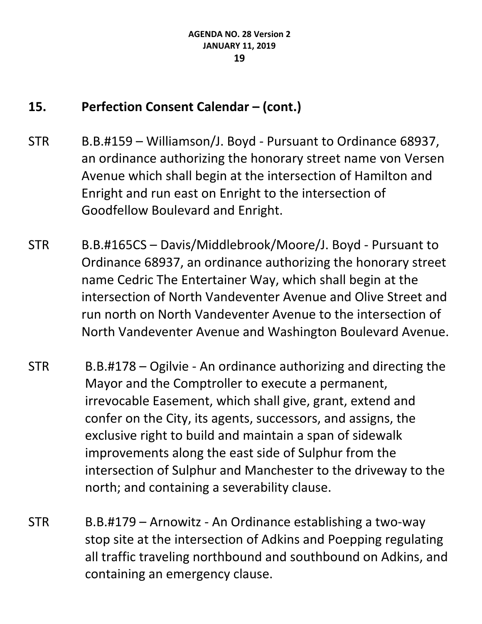# **15. Perfection Consent Calendar – (cont.)**

- STR B.B.#159 Williamson/J. Boyd Pursuant to Ordinance 68937, an ordinance authorizing the honorary street name von Versen Avenue which shall begin at the intersection of Hamilton and Enright and run east on Enright to the intersection of Goodfellow Boulevard and Enright.
- STR B.B.#165CS Davis/Middlebrook/Moore/J. Boyd Pursuant to Ordinance 68937, an ordinance authorizing the honorary street name Cedric The Entertainer Way, which shall begin at the intersection of North Vandeventer Avenue and Olive Street and run north on North Vandeventer Avenue to the intersection of North Vandeventer Avenue and Washington Boulevard Avenue.
- STR B.B.#178 Ogilvie An ordinance authorizing and directing the Mayor and the Comptroller to execute a permanent, irrevocable Easement, which shall give, grant, extend and confer on the City, its agents, successors, and assigns, the exclusive right to build and maintain a span of sidewalk improvements along the east side of Sulphur from the intersection of Sulphur and Manchester to the driveway to the north; and containing a severability clause.
- STR B.B.#179 Arnowitz An Ordinance establishing a two-way stop site at the intersection of Adkins and Poepping regulating all traffic traveling northbound and southbound on Adkins, and containing an emergency clause.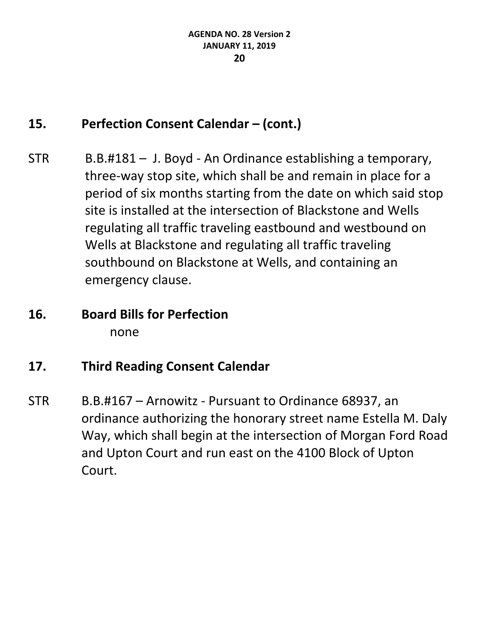# **15. Perfection Consent Calendar – (cont.)**

- STR B.B.#181 J. Boyd An Ordinance establishing a temporary, three-way stop site, which shall be and remain in place for a period of six months starting from the date on which said stop site is installed at the intersection of Blackstone and Wells regulating all traffic traveling eastbound and westbound on Wells at Blackstone and regulating all traffic traveling southbound on Blackstone at Wells, and containing an emergency clause.
- **16. Board Bills for Perfection** none
- **17. Third Reading Consent Calendar**
- STR B.B.#167 Arnowitz Pursuant to Ordinance 68937, an ordinance authorizing the honorary street name Estella M. Daly Way, which shall begin at the intersection of Morgan Ford Road and Upton Court and run east on the 4100 Block of Upton Court.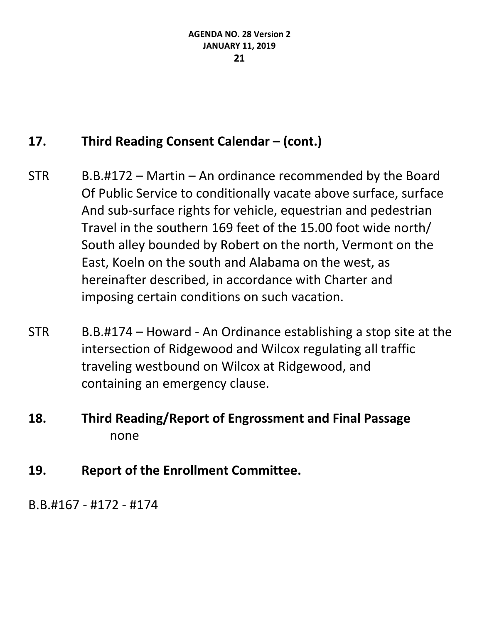# **17. Third Reading Consent Calendar – (cont.)**

- $STR$  B.B.#172 Martin An ordinance recommended by the Board Of Public Service to conditionally vacate above surface, surface And sub-surface rights for vehicle, equestrian and pedestrian Travel in the southern 169 feet of the 15.00 foot wide north/ South alley bounded by Robert on the north, Vermont on the East, Koeln on the south and Alabama on the west, as hereinafter described, in accordance with Charter and imposing certain conditions on such vacation.
- STR B.B.#174 Howard An Ordinance establishing a stop site at the intersection of Ridgewood and Wilcox regulating all traffic traveling westbound on Wilcox at Ridgewood, and containing an emergency clause.
- **18. Third Reading/Report of Engrossment and Final Passage** none
- **19. Report of the Enrollment Committee.**

B.B.#167 - #172 - #174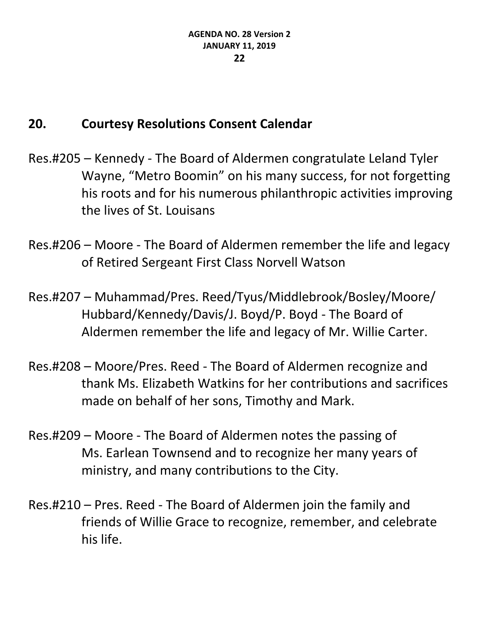### **20. Courtesy Resolutions Consent Calendar**

- Res.#205 Kennedy The Board of Aldermen congratulate Leland Tyler Wayne, "Metro Boomin" on his many success, for not forgetting his roots and for his numerous philanthropic activities improving the lives of St. Louisans
- Res.#206 Moore The Board of Aldermen remember the life and legacy of Retired Sergeant First Class Norvell Watson
- Res.#207 Muhammad/Pres. Reed/Tyus/Middlebrook/Bosley/Moore/ Hubbard/Kennedy/Davis/J. Boyd/P. Boyd - The Board of Aldermen remember the life and legacy of Mr. Willie Carter.
- Res.#208 Moore/Pres. Reed The Board of Aldermen recognize and thank Ms. Elizabeth Watkins for her contributions and sacrifices made on behalf of her sons, Timothy and Mark.
- Res.#209 Moore The Board of Aldermen notes the passing of Ms. Earlean Townsend and to recognize her many years of ministry, and many contributions to the City.
- Res.#210 Pres. Reed The Board of Aldermen join the family and friends of Willie Grace to recognize, remember, and celebrate his life.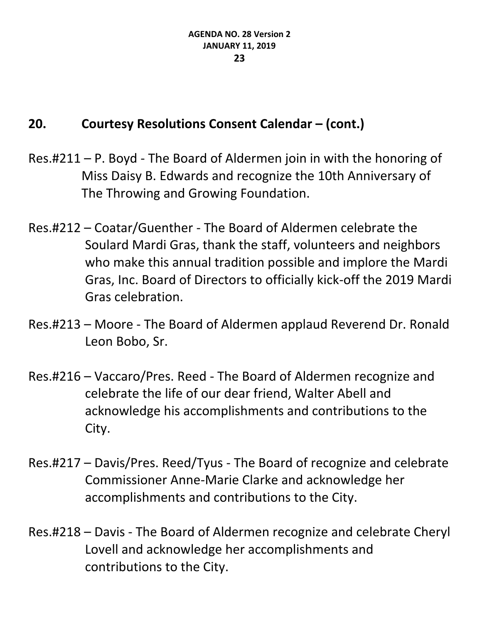# **20. Courtesy Resolutions Consent Calendar – (cont.)**

- Res.#211 P. Boyd The Board of Aldermen join in with the honoring of Miss Daisy B. Edwards and recognize the 10th Anniversary of The Throwing and Growing Foundation.
- Res.#212 Coatar/Guenther The Board of Aldermen celebrate the Soulard Mardi Gras, thank the staff, volunteers and neighbors who make this annual tradition possible and implore the Mardi Gras, Inc. Board of Directors to officially kick-off the 2019 Mardi Gras celebration.
- Res.#213 Moore The Board of Aldermen applaud Reverend Dr. Ronald Leon Bobo, Sr.
- Res.#216 Vaccaro/Pres. Reed The Board of Aldermen recognize and celebrate the life of our dear friend, Walter Abell and acknowledge his accomplishments and contributions to the City.
- Res.#217 Davis/Pres. Reed/Tyus The Board of recognize and celebrate Commissioner Anne-Marie Clarke and acknowledge her accomplishments and contributions to the City.
- Res.#218 Davis The Board of Aldermen recognize and celebrate Cheryl Lovell and acknowledge her accomplishments and contributions to the City.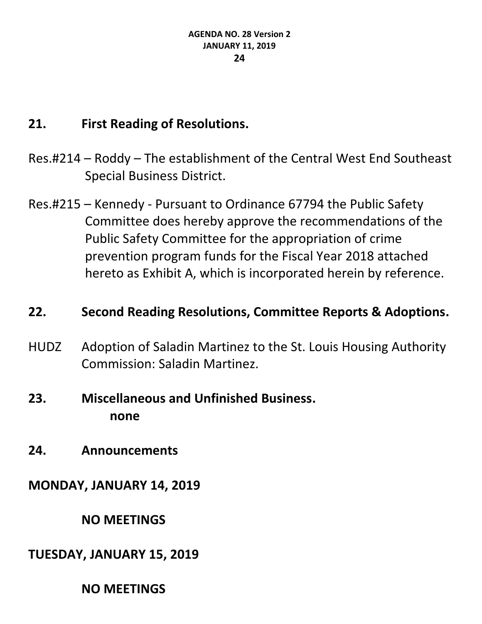# **21. First Reading of Resolutions.**

- Res.#214 Roddy The establishment of the Central West End Southeast Special Business District.
- Res.#215 Kennedy Pursuant to Ordinance 67794 the Public Safety Committee does hereby approve the recommendations of the Public Safety Committee for the appropriation of crime prevention program funds for the Fiscal Year 2018 attached hereto as Exhibit A, which is incorporated herein by reference.

### **22. Second Reading Resolutions, Committee Reports & Adoptions.**

HUDZ Adoption of Saladin Martinez to the St. Louis Housing Authority Commission: Saladin Martinez.

# **23. Miscellaneous and Unfinished Business. none**

**24. Announcements**

# **MONDAY, JANUARY 14, 2019**

### **NO MEETINGS**

# **TUESDAY, JANUARY 15, 2019**

### **NO MEETINGS**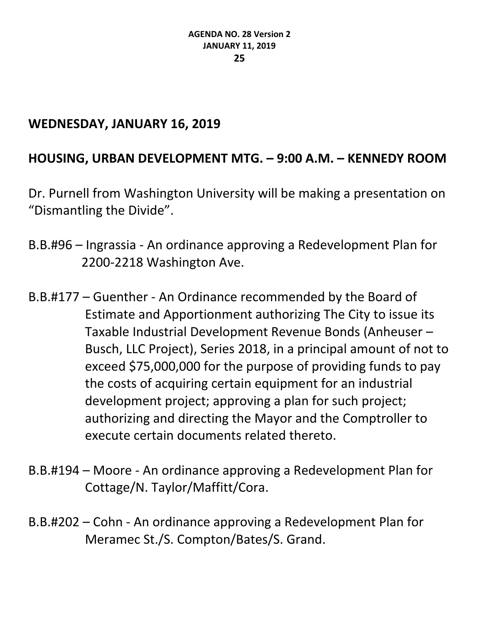### **WEDNESDAY, JANUARY 16, 2019**

# **HOUSING, URBAN DEVELOPMENT MTG. – 9:00 A.M. – KENNEDY ROOM**

Dr. Purnell from Washington University will be making a presentation on "Dismantling the Divide".

- B.B.#96 Ingrassia An ordinance approving a Redevelopment Plan for 2200-2218 Washington Ave.
- B.B.#177 Guenther An Ordinance recommended by the Board of Estimate and Apportionment authorizing The City to issue its Taxable Industrial Development Revenue Bonds (Anheuser – Busch, LLC Project), Series 2018, in a principal amount of not to exceed \$75,000,000 for the purpose of providing funds to pay the costs of acquiring certain equipment for an industrial development project; approving a plan for such project; authorizing and directing the Mayor and the Comptroller to execute certain documents related thereto.
- B.B.#194 Moore An ordinance approving a Redevelopment Plan for Cottage/N. Taylor/Maffitt/Cora.
- B.B.#202 Cohn An ordinance approving a Redevelopment Plan for Meramec St./S. Compton/Bates/S. Grand.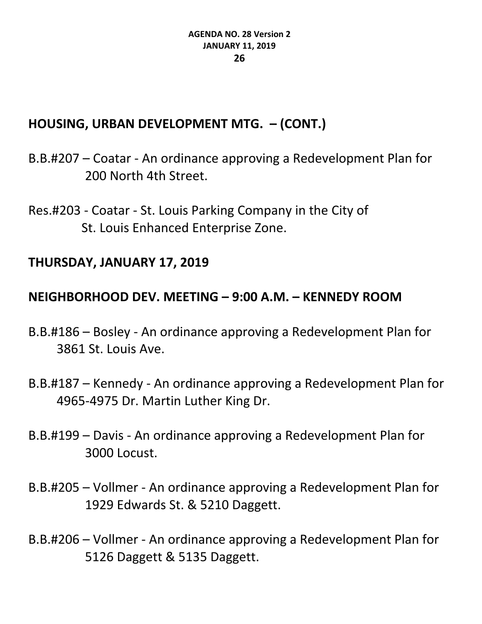# **HOUSING, URBAN DEVELOPMENT MTG. – (CONT.)**

B.B.#207 – Coatar - An ordinance approving a Redevelopment Plan for 200 North 4th Street.

Res.#203 - Coatar - St. Louis Parking Company in the City of St. Louis Enhanced Enterprise Zone.

### **THURSDAY, JANUARY 17, 2019**

# **NEIGHBORHOOD DEV. MEETING – 9:00 A.M. – KENNEDY ROOM**

- B.B.#186 Bosley An ordinance approving a Redevelopment Plan for 3861 St. Louis Ave.
- B.B.#187 Kennedy An ordinance approving a Redevelopment Plan for 4965-4975 Dr. Martin Luther King Dr.
- B.B.#199 Davis An ordinance approving a Redevelopment Plan for 3000 Locust.
- B.B.#205 Vollmer An ordinance approving a Redevelopment Plan for 1929 Edwards St. & 5210 Daggett.
- B.B.#206 Vollmer An ordinance approving a Redevelopment Plan for 5126 Daggett & 5135 Daggett.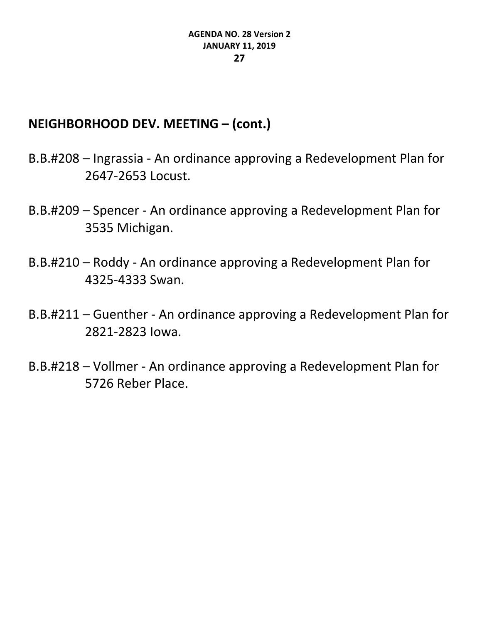### **NEIGHBORHOOD DEV. MEETING – (cont.)**

- B.B.#208 Ingrassia An ordinance approving a Redevelopment Plan for 2647-2653 Locust.
- B.B.#209 Spencer An ordinance approving a Redevelopment Plan for 3535 Michigan.
- B.B.#210 Roddy An ordinance approving a Redevelopment Plan for 4325-4333 Swan.
- B.B.#211 Guenther An ordinance approving a Redevelopment Plan for 2821-2823 Iowa.
- B.B.#218 Vollmer An ordinance approving a Redevelopment Plan for 5726 Reber Place.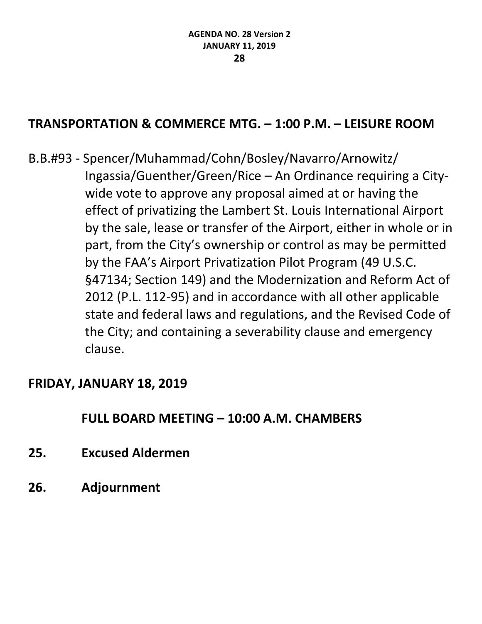# **TRANSPORTATION & COMMERCE MTG. – 1:00 P.M. – LEISURE ROOM**

B.B.#93 - Spencer/Muhammad/Cohn/Bosley/Navarro/Arnowitz/ Ingassia/Guenther/Green/Rice – An Ordinance requiring a Citywide vote to approve any proposal aimed at or having the effect of privatizing the Lambert St. Louis International Airport by the sale, lease or transfer of the Airport, either in whole or in part, from the City's ownership or control as may be permitted by the FAA's Airport Privatization Pilot Program (49 U.S.C. §47134; Section 149) and the Modernization and Reform Act of 2012 (P.L. 112-95) and in accordance with all other applicable state and federal laws and regulations, and the Revised Code of the City; and containing a severability clause and emergency clause.

#### **FRIDAY, JANUARY 18, 2019**

### **FULL BOARD MEETING – 10:00 A.M. CHAMBERS**

- **25. Excused Aldermen**
- **26. Adjournment**